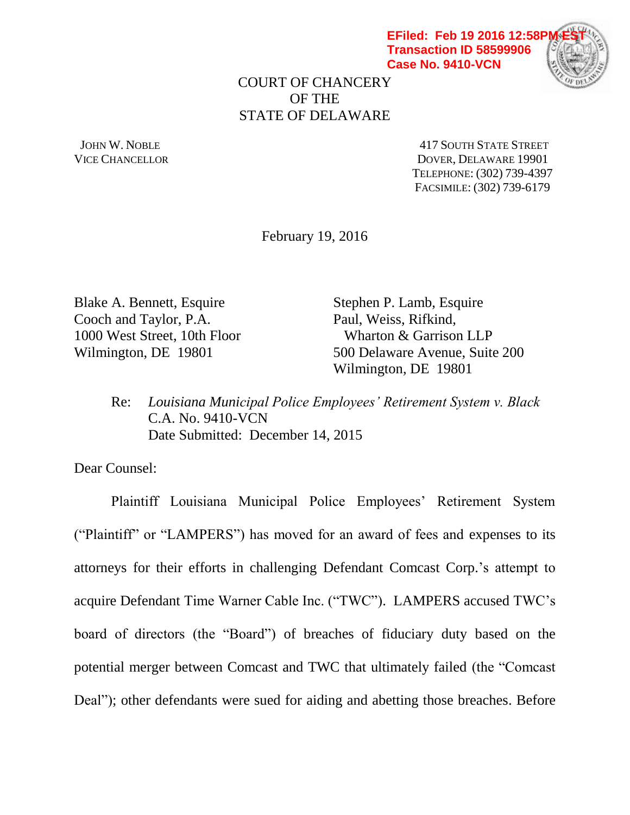**EFiled: Feb 19 2016 12:58P Transaction ID 58599906 Case No. 9410-VCN**



COURT OF CHANCERY OF THE STATE OF DELAWARE

JOHN W. NOBLE **AND STATE STREET** VICE CHANCELLOR DOVER, DELAWARE 19901 TELEPHONE: (302) 739-4397 FACSIMILE: (302) 739-6179

February 19, 2016

Blake A. Bennett, Esquire Stephen P. Lamb, Esquire Cooch and Taylor, P.A. Paul, Weiss, Rifkind, 1000 West Street, 10th Floor Wharton & Garrison LLP

Wilmington, DE 19801 500 Delaware Avenue, Suite 200 Wilmington, DE 19801

Re: *Louisiana Municipal Police Employees' Retirement System v. Black* C.A. No. 9410-VCN Date Submitted: December 14, 2015

Dear Counsel:

Plaintiff Louisiana Municipal Police Employees' Retirement System ("Plaintiff" or "LAMPERS") has moved for an award of fees and expenses to its attorneys for their efforts in challenging Defendant Comcast Corp.'s attempt to acquire Defendant Time Warner Cable Inc. ("TWC"). LAMPERS accused TWC's board of directors (the "Board") of breaches of fiduciary duty based on the potential merger between Comcast and TWC that ultimately failed (the "Comcast Deal"); other defendants were sued for aiding and abetting those breaches. Before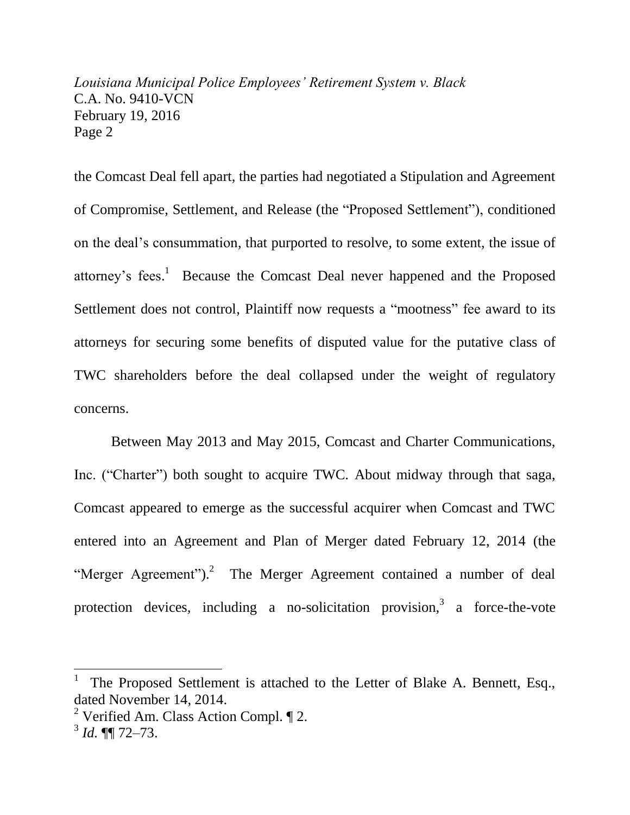the Comcast Deal fell apart, the parties had negotiated a Stipulation and Agreement of Compromise, Settlement, and Release (the "Proposed Settlement"), conditioned on the deal's consummation, that purported to resolve, to some extent, the issue of attorney's fees.<sup>1</sup> Because the Comcast Deal never happened and the Proposed Settlement does not control, Plaintiff now requests a "mootness" fee award to its attorneys for securing some benefits of disputed value for the putative class of TWC shareholders before the deal collapsed under the weight of regulatory concerns.

Between May 2013 and May 2015, Comcast and Charter Communications, Inc. ("Charter") both sought to acquire TWC. About midway through that saga, Comcast appeared to emerge as the successful acquirer when Comcast and TWC entered into an Agreement and Plan of Merger dated February 12, 2014 (the "Merger Agreement").<sup>2</sup> The Merger Agreement contained a number of deal protection devices, including a no-solicitation provision,  $3\alpha$  force-the-vote

<sup>1</sup> The Proposed Settlement is attached to the Letter of Blake A. Bennett, Esq., dated November 14, 2014.

<sup>&</sup>lt;sup>2</sup> Verified Am. Class Action Compl.  $\P$  2.

<sup>3</sup> *Id.* ¶¶ 72–73.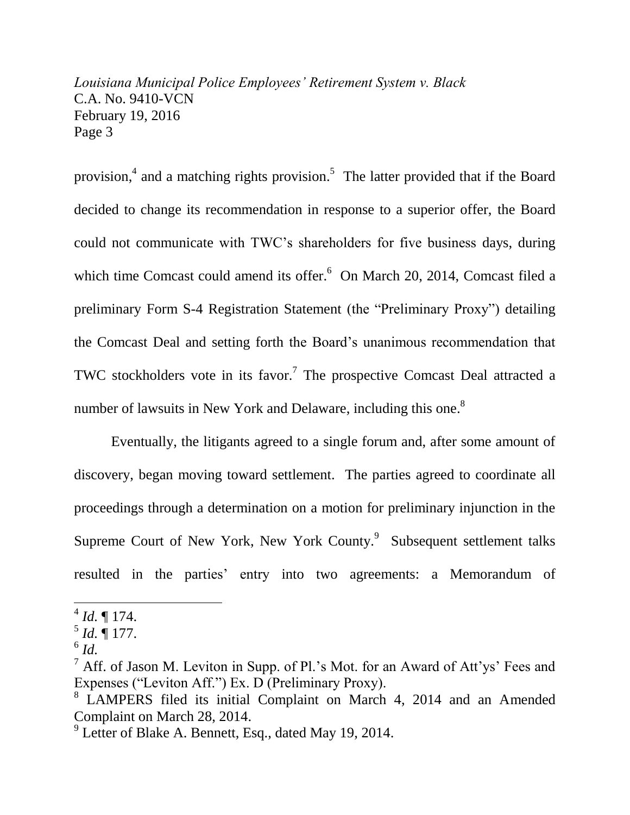provision,<sup>4</sup> and a matching rights provision.<sup>5</sup> The latter provided that if the Board decided to change its recommendation in response to a superior offer, the Board could not communicate with TWC's shareholders for five business days, during which time Comcast could amend its offer.<sup>6</sup> On March 20, 2014, Comcast filed a preliminary Form S-4 Registration Statement (the "Preliminary Proxy") detailing the Comcast Deal and setting forth the Board's unanimous recommendation that TWC stockholders vote in its favor.<sup>7</sup> The prospective Comcast Deal attracted a number of lawsuits in New York and Delaware, including this one.<sup>8</sup>

Eventually, the litigants agreed to a single forum and, after some amount of discovery, began moving toward settlement. The parties agreed to coordinate all proceedings through a determination on a motion for preliminary injunction in the Supreme Court of New York, New York County.<sup>9</sup> Subsequent settlement talks resulted in the parties' entry into two agreements: a Memorandum of

6 *Id.*

 $^{4}$  *Id.*  $\P$  174.

 $^5$  *Id.*  $\sqrt{\phantom{a}}$  177.

 $<sup>7</sup>$  Aff. of Jason M. Leviton in Supp. of Pl.'s Mot. for an Award of Att'ys' Fees and</sup> Expenses ("Leviton Aff.") Ex. D (Preliminary Proxy).

<sup>&</sup>lt;sup>8</sup> LAMPERS filed its initial Complaint on March 4, 2014 and an Amended Complaint on March 28, 2014.

<sup>&</sup>lt;sup>9</sup> Letter of Blake A. Bennett, Esq., dated May 19, 2014.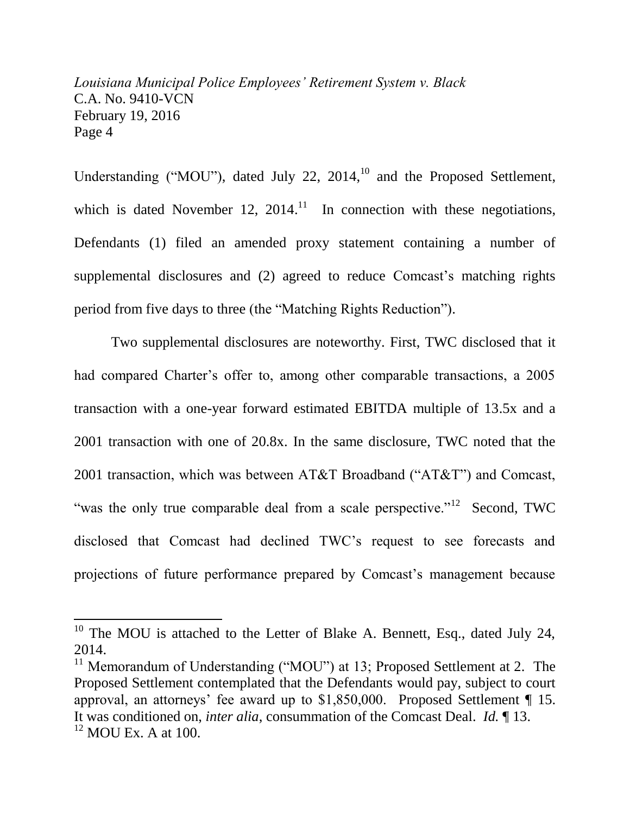Understanding ("MOU"), dated July 22, 2014,<sup>10</sup> and the Proposed Settlement, which is dated November 12,  $2014$ .<sup>11</sup> In connection with these negotiations, Defendants (1) filed an amended proxy statement containing a number of supplemental disclosures and (2) agreed to reduce Comcast's matching rights period from five days to three (the "Matching Rights Reduction").

Two supplemental disclosures are noteworthy. First, TWC disclosed that it had compared Charter's offer to, among other comparable transactions, a 2005 transaction with a one-year forward estimated EBITDA multiple of 13.5x and a 2001 transaction with one of 20.8x. In the same disclosure, TWC noted that the 2001 transaction, which was between AT&T Broadband ("AT&T") and Comcast, "was the only true comparable deal from a scale perspective."<sup>12</sup> Second, TWC disclosed that Comcast had declined TWC's request to see forecasts and projections of future performance prepared by Comcast's management because

<sup>&</sup>lt;sup>10</sup> The MOU is attached to the Letter of Blake A. Bennett, Esq., dated July 24, 2014.

<sup>&</sup>lt;sup>11</sup> Memorandum of Understanding ("MOU") at 13; Proposed Settlement at 2. The Proposed Settlement contemplated that the Defendants would pay, subject to court approval, an attorneys' fee award up to \$1,850,000. Proposed Settlement ¶ 15. It was conditioned on, *inter alia*, consummation of the Comcast Deal. *Id.* ¶ 13.  $12$  MOU Ex. A at 100.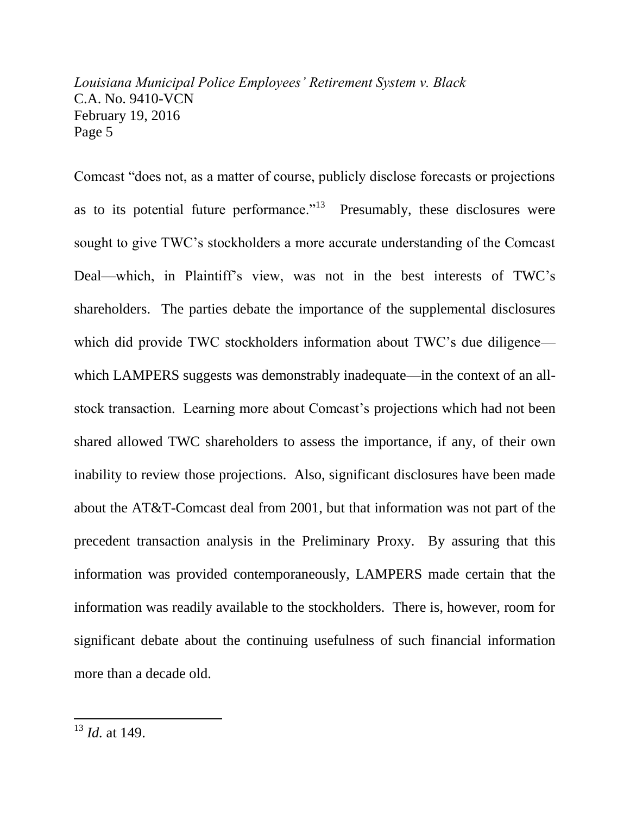Comcast "does not, as a matter of course, publicly disclose forecasts or projections as to its potential future performance."<sup>13</sup> Presumably, these disclosures were sought to give TWC's stockholders a more accurate understanding of the Comcast Deal—which, in Plaintiff's view, was not in the best interests of TWC's shareholders. The parties debate the importance of the supplemental disclosures which did provide TWC stockholders information about TWC's due diligence which LAMPERS suggests was demonstrably inadequate—in the context of an allstock transaction. Learning more about Comcast's projections which had not been shared allowed TWC shareholders to assess the importance, if any, of their own inability to review those projections. Also, significant disclosures have been made about the AT&T-Comcast deal from 2001, but that information was not part of the precedent transaction analysis in the Preliminary Proxy. By assuring that this information was provided contemporaneously, LAMPERS made certain that the information was readily available to the stockholders. There is, however, room for significant debate about the continuing usefulness of such financial information more than a decade old.

l

<sup>13</sup> *Id.* at 149.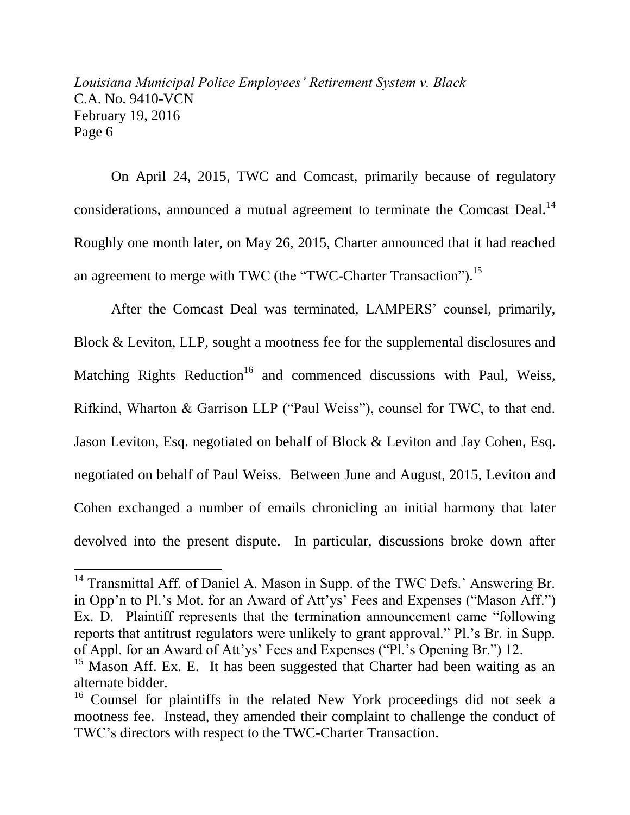On April 24, 2015, TWC and Comcast, primarily because of regulatory considerations, announced a mutual agreement to terminate the Comcast Deal.<sup>14</sup> Roughly one month later, on May 26, 2015, Charter announced that it had reached an agreement to merge with TWC (the "TWC-Charter Transaction").<sup>15</sup>

After the Comcast Deal was terminated, LAMPERS' counsel, primarily, Block & Leviton, LLP, sought a mootness fee for the supplemental disclosures and Matching Rights Reduction<sup>16</sup> and commenced discussions with Paul, Weiss, Rifkind, Wharton & Garrison LLP ("Paul Weiss"), counsel for TWC, to that end. Jason Leviton, Esq. negotiated on behalf of Block & Leviton and Jay Cohen, Esq. negotiated on behalf of Paul Weiss. Between June and August, 2015, Leviton and Cohen exchanged a number of emails chronicling an initial harmony that later devolved into the present dispute. In particular, discussions broke down after

<sup>&</sup>lt;sup>14</sup> Transmittal Aff. of Daniel A. Mason in Supp. of the TWC Defs.' Answering Br. in Opp'n to Pl.'s Mot. for an Award of Att'ys' Fees and Expenses ("Mason Aff.") Ex. D. Plaintiff represents that the termination announcement came "following reports that antitrust regulators were unlikely to grant approval." Pl.'s Br. in Supp. of Appl. for an Award of Att'ys' Fees and Expenses ("Pl.'s Opening Br.") 12.

<sup>&</sup>lt;sup>15</sup> Mason Aff. Ex. E. It has been suggested that Charter had been waiting as an alternate bidder.

<sup>&</sup>lt;sup>16</sup> Counsel for plaintiffs in the related New York proceedings did not seek a mootness fee. Instead, they amended their complaint to challenge the conduct of TWC's directors with respect to the TWC-Charter Transaction.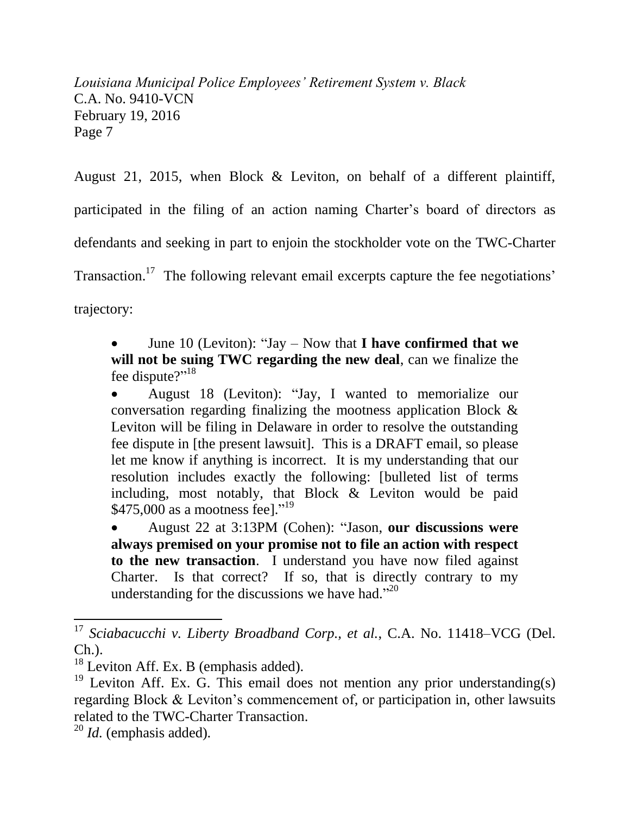August 21, 2015, when Block & Leviton, on behalf of a different plaintiff, participated in the filing of an action naming Charter's board of directors as defendants and seeking in part to enjoin the stockholder vote on the TWC-Charter Transaction.<sup>17</sup> The following relevant email excerpts capture the fee negotiations' trajectory:

 June 10 (Leviton): "Jay – Now that **I have confirmed that we will not be suing TWC regarding the new deal**, can we finalize the fee dispute?"<sup>18</sup>

 August 18 (Leviton): "Jay, I wanted to memorialize our conversation regarding finalizing the mootness application Block & Leviton will be filing in Delaware in order to resolve the outstanding fee dispute in [the present lawsuit]. This is a DRAFT email, so please let me know if anything is incorrect. It is my understanding that our resolution includes exactly the following: [bulleted list of terms including, most notably, that Block & Leviton would be paid \$475,000 as a mootness fee]."<sup>19</sup>

 August 22 at 3:13PM (Cohen): "Jason, **our discussions were always premised on your promise not to file an action with respect to the new transaction**. I understand you have now filed against Charter. Is that correct? If so, that is directly contrary to my understanding for the discussions we have had." $20$ 

<sup>17</sup> *Sciabacucchi v. Liberty Broadband Corp., et al.*, C.A. No. 11418–VCG (Del. Ch.).

 $18$  Leviton Aff. Ex. B (emphasis added).

 $19$  Leviton Aff. Ex. G. This email does not mention any prior understanding(s) regarding Block & Leviton's commencement of, or participation in, other lawsuits related to the TWC-Charter Transaction.

<sup>20</sup> *Id.* (emphasis added).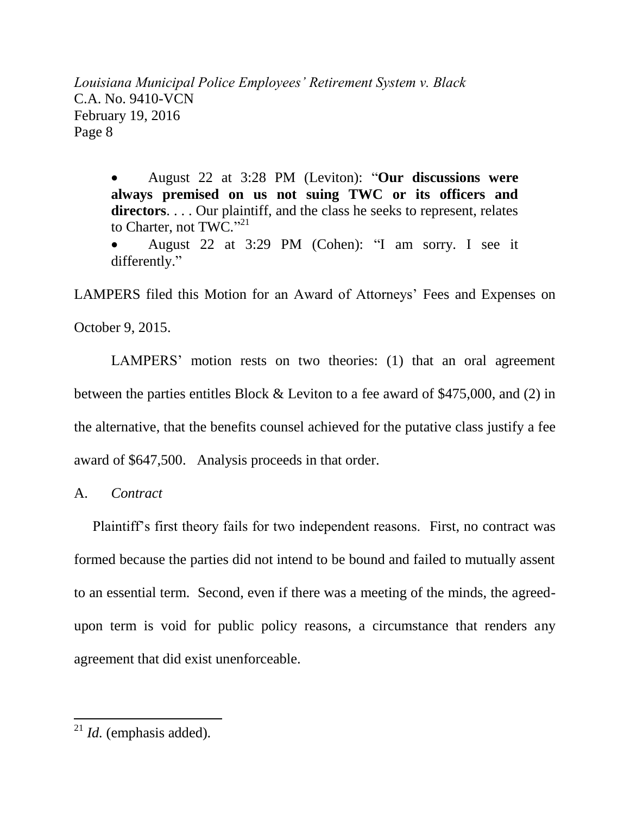August 22 at 3:28 PM (Leviton): "**Our discussions were always premised on us not suing TWC or its officers and directors**. . . . Our plaintiff, and the class he seeks to represent, relates to Charter, not TWC."21

 August 22 at 3:29 PM (Cohen): "I am sorry. I see it differently."

LAMPERS filed this Motion for an Award of Attorneys' Fees and Expenses on

October 9, 2015.

LAMPERS' motion rests on two theories: (1) that an oral agreement between the parties entitles Block & Leviton to a fee award of \$475,000, and (2) in the alternative, that the benefits counsel achieved for the putative class justify a fee award of \$647,500. Analysis proceeds in that order.

A. *Contract*

Plaintiff's first theory fails for two independent reasons. First, no contract was formed because the parties did not intend to be bound and failed to mutually assent to an essential term. Second, even if there was a meeting of the minds, the agreedupon term is void for public policy reasons, a circumstance that renders any agreement that did exist unenforceable.

l

 $^{21}$  *Id.* (emphasis added).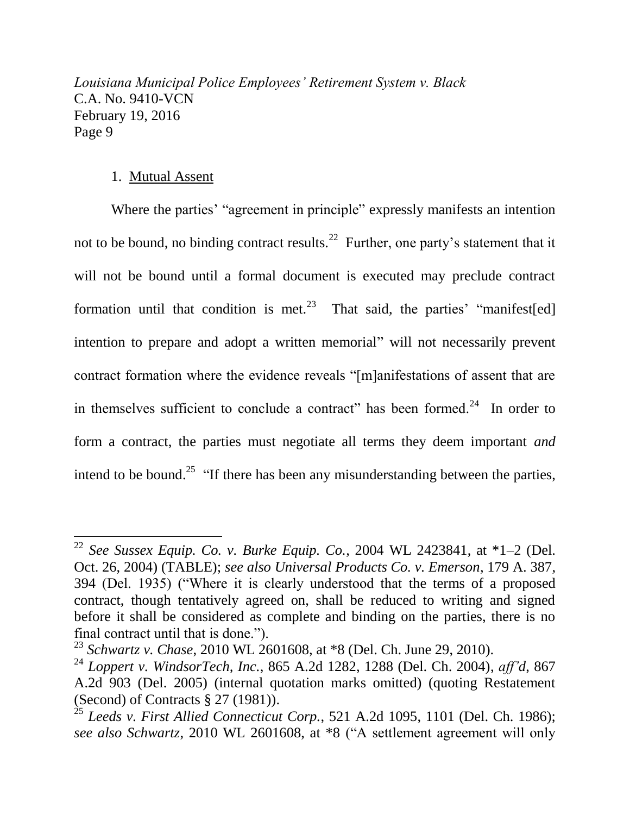## 1. Mutual Assent

 $\overline{a}$ 

Where the parties' "agreement in principle" expressly manifests an intention not to be bound, no binding contract results.<sup>22</sup> Further, one party's statement that it will not be bound until a formal document is executed may preclude contract formation until that condition is met.<sup>23</sup> That said, the parties' "manifest[ed] intention to prepare and adopt a written memorial" will not necessarily prevent contract formation where the evidence reveals "[m]anifestations of assent that are in themselves sufficient to conclude a contract" has been formed. $24$  In order to form a contract, the parties must negotiate all terms they deem important *and* intend to be bound.<sup>25</sup> "If there has been any misunderstanding between the parties,

<sup>&</sup>lt;sup>22</sup> *See Sussex Equip. Co. v. Burke Equip. Co.,* 2004 WL 2423841, at  $*1-2$  (Del. Oct. 26, 2004) (TABLE); *see also Universal Products Co. v. Emerson*, 179 A. 387, 394 (Del. 1935) ("Where it is clearly understood that the terms of a proposed contract, though tentatively agreed on, shall be reduced to writing and signed before it shall be considered as complete and binding on the parties, there is no final contract until that is done.").

<sup>23</sup> *Schwartz v. Chase*, 2010 WL 2601608, at \*8 (Del. Ch. June 29, 2010).

<sup>24</sup> *Loppert v. WindsorTech, Inc.*, 865 A.2d 1282, 1288 (Del. Ch. 2004), *aff'd*, 867 A.2d 903 (Del. 2005) (internal quotation marks omitted) (quoting Restatement (Second) of Contracts § 27 (1981)).

<sup>25</sup> *Leeds v. First Allied Connecticut Corp.*, 521 A.2d 1095, 1101 (Del. Ch. 1986); *see also Schwartz*, 2010 WL 2601608, at \*8 ("A settlement agreement will only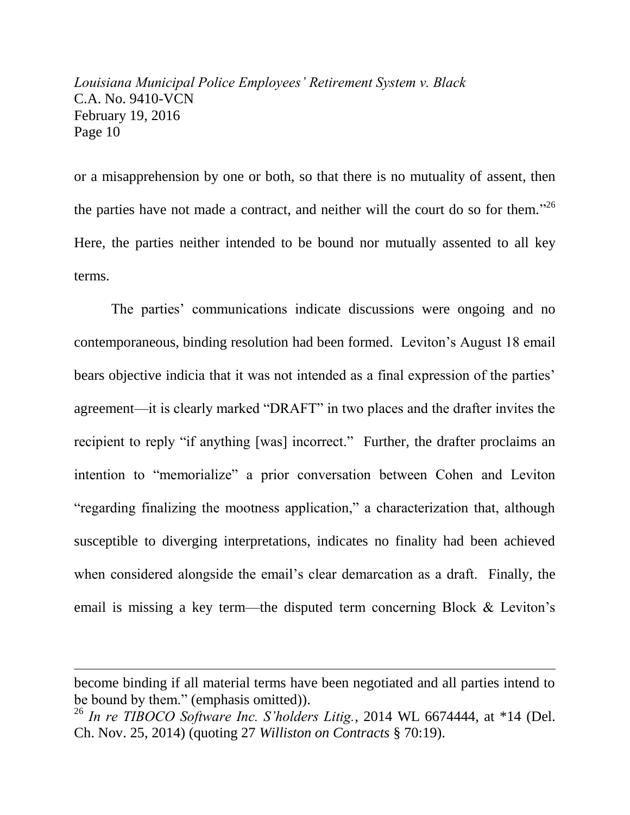or a misapprehension by one or both, so that there is no mutuality of assent, then the parties have not made a contract, and neither will the court do so for them.<sup>326</sup> Here, the parties neither intended to be bound nor mutually assented to all key terms.

The parties' communications indicate discussions were ongoing and no contemporaneous, binding resolution had been formed. Leviton's August 18 email bears objective indicia that it was not intended as a final expression of the parties' agreement—it is clearly marked "DRAFT" in two places and the drafter invites the recipient to reply "if anything [was] incorrect." Further, the drafter proclaims an intention to "memorialize" a prior conversation between Cohen and Leviton "regarding finalizing the mootness application," a characterization that, although susceptible to diverging interpretations, indicates no finality had been achieved when considered alongside the email's clear demarcation as a draft. Finally, the email is missing a key term—the disputed term concerning Block & Leviton's

become binding if all material terms have been negotiated and all parties intend to be bound by them." (emphasis omitted)).

<sup>26</sup> *In re TIBOCO Software Inc. S'holders Litig.*, 2014 WL 6674444, at \*14 (Del. Ch. Nov. 25, 2014) (quoting 27 *Williston on Contracts* § 70:19).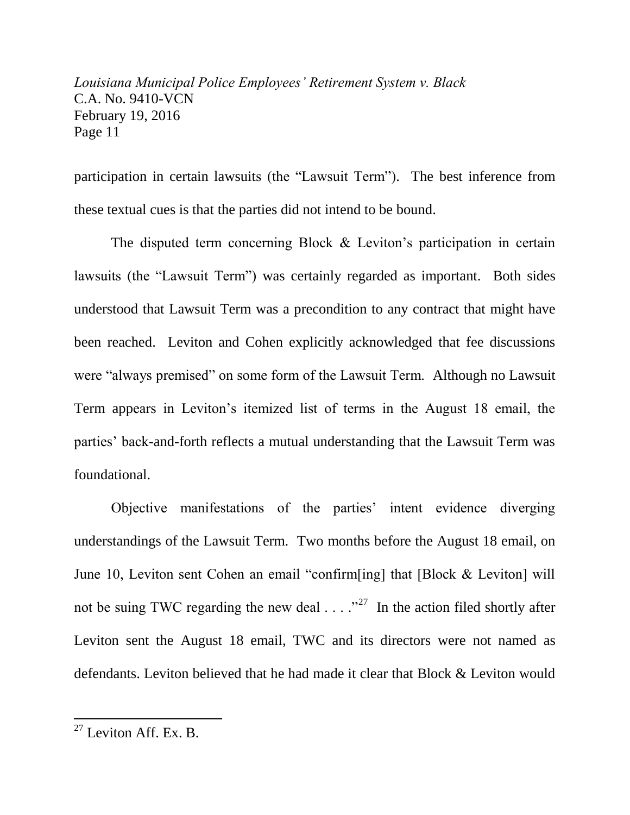participation in certain lawsuits (the "Lawsuit Term"). The best inference from these textual cues is that the parties did not intend to be bound.

The disputed term concerning Block & Leviton's participation in certain lawsuits (the "Lawsuit Term") was certainly regarded as important. Both sides understood that Lawsuit Term was a precondition to any contract that might have been reached. Leviton and Cohen explicitly acknowledged that fee discussions were "always premised" on some form of the Lawsuit Term. Although no Lawsuit Term appears in Leviton's itemized list of terms in the August 18 email, the parties' back-and-forth reflects a mutual understanding that the Lawsuit Term was foundational.

Objective manifestations of the parties' intent evidence diverging understandings of the Lawsuit Term. Two months before the August 18 email, on June 10, Leviton sent Cohen an email "confirm[ing] that [Block & Leviton] will not be suing TWC regarding the new deal  $\ldots$   $\cdot$   $\cdot$  The action filed shortly after Leviton sent the August 18 email, TWC and its directors were not named as defendants. Leviton believed that he had made it clear that Block & Leviton would

l

 $27$  Leviton Aff. Ex. B.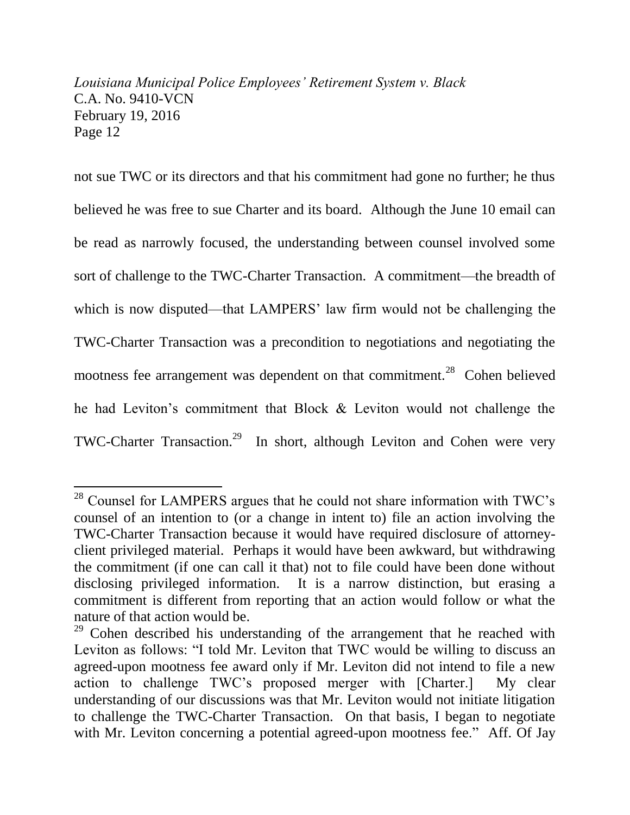not sue TWC or its directors and that his commitment had gone no further; he thus believed he was free to sue Charter and its board. Although the June 10 email can be read as narrowly focused, the understanding between counsel involved some sort of challenge to the TWC-Charter Transaction. A commitment—the breadth of which is now disputed—that LAMPERS' law firm would not be challenging the TWC-Charter Transaction was a precondition to negotiations and negotiating the mootness fee arrangement was dependent on that commitment.<sup>28</sup> Cohen believed he had Leviton's commitment that Block & Leviton would not challenge the TWC-Charter Transaction.<sup>29</sup> In short, although Leviton and Cohen were very

l

<sup>&</sup>lt;sup>28</sup> Counsel for LAMPERS argues that he could not share information with TWC's counsel of an intention to (or a change in intent to) file an action involving the TWC-Charter Transaction because it would have required disclosure of attorneyclient privileged material. Perhaps it would have been awkward, but withdrawing the commitment (if one can call it that) not to file could have been done without disclosing privileged information. It is a narrow distinction, but erasing a commitment is different from reporting that an action would follow or what the nature of that action would be.

<sup>&</sup>lt;sup>29</sup> Cohen described his understanding of the arrangement that he reached with Leviton as follows: "I told Mr. Leviton that TWC would be willing to discuss an agreed-upon mootness fee award only if Mr. Leviton did not intend to file a new action to challenge TWC's proposed merger with [Charter.] My clear understanding of our discussions was that Mr. Leviton would not initiate litigation to challenge the TWC-Charter Transaction. On that basis, I began to negotiate with Mr. Leviton concerning a potential agreed-upon mootness fee." Aff. Of Jay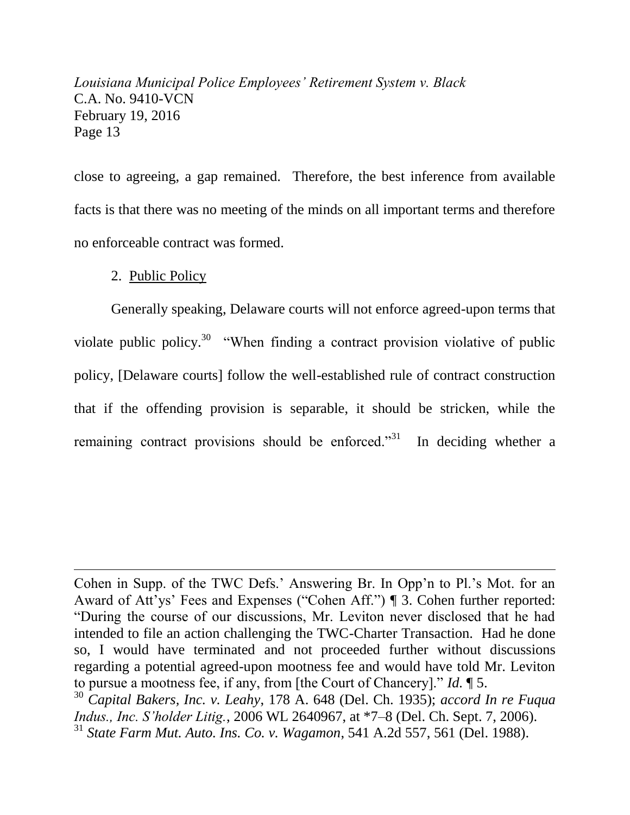close to agreeing, a gap remained. Therefore, the best inference from available facts is that there was no meeting of the minds on all important terms and therefore no enforceable contract was formed.

## 2. Public Policy

 $\overline{a}$ 

Generally speaking, Delaware courts will not enforce agreed-upon terms that violate public policy.<sup>30</sup> "When finding a contract provision violative of public policy, [Delaware courts] follow the well-established rule of contract construction that if the offending provision is separable, it should be stricken, while the remaining contract provisions should be enforced."<sup>31</sup> In deciding whether a

Cohen in Supp. of the TWC Defs.' Answering Br. In Opp'n to Pl.'s Mot. for an Award of Att'ys' Fees and Expenses ("Cohen Aff.") ¶ 3. Cohen further reported: "During the course of our discussions, Mr. Leviton never disclosed that he had intended to file an action challenging the TWC-Charter Transaction. Had he done so, I would have terminated and not proceeded further without discussions regarding a potential agreed-upon mootness fee and would have told Mr. Leviton to pursue a mootness fee, if any, from [the Court of Chancery]." *Id.* ¶ 5.

<sup>30</sup> *Capital Bakers, Inc. v. Leahy*, 178 A. 648 (Del. Ch. 1935); *accord In re Fuqua Indus., Inc. S'holder Litig.*, 2006 WL 2640967, at \*7–8 (Del. Ch. Sept. 7, 2006). <sup>31</sup> *State Farm Mut. Auto. Ins. Co. v. Wagamon*, 541 A.2d 557, 561 (Del. 1988).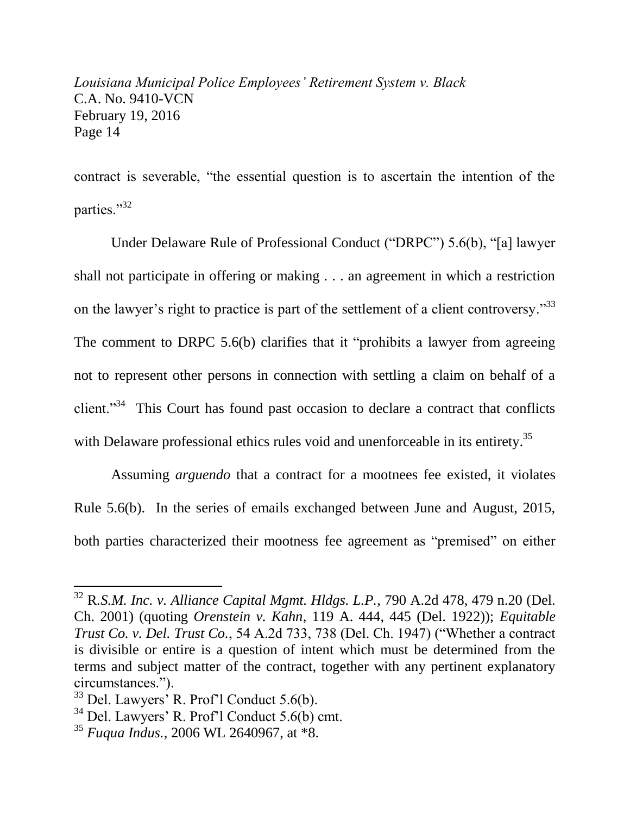contract is severable, "the essential question is to ascertain the intention of the parties."32

Under Delaware Rule of Professional Conduct ("DRPC") 5.6(b), "[a] lawyer shall not participate in offering or making . . . an agreement in which a restriction on the lawyer's right to practice is part of the settlement of a client controversy.<sup>33</sup> The comment to DRPC 5.6(b) clarifies that it "prohibits a lawyer from agreeing not to represent other persons in connection with settling a claim on behalf of a client."<sup>34</sup> This Court has found past occasion to declare a contract that conflicts with Delaware professional ethics rules void and unenforceable in its entirety.<sup>35</sup>

Assuming *arguendo* that a contract for a mootnees fee existed, it violates Rule 5.6(b). In the series of emails exchanged between June and August, 2015, both parties characterized their mootness fee agreement as "premised" on either

<sup>32</sup> R*.S.M. Inc. v. Alliance Capital Mgmt. Hldgs. L.P.*, 790 A.2d 478, 479 n.20 (Del. Ch. 2001) (quoting *Orenstein v. Kahn*, 119 A. 444, 445 (Del. 1922)); *Equitable Trust Co. v. Del. Trust Co.*, 54 A.2d 733, 738 (Del. Ch. 1947) ("Whether a contract is divisible or entire is a question of intent which must be determined from the terms and subject matter of the contract, together with any pertinent explanatory circumstances.").

<sup>33</sup> Del. Lawyers' R. Prof'l Conduct 5.6(b).

<sup>34</sup> Del. Lawyers' R. Prof'l Conduct 5.6(b) cmt.

<sup>35</sup> *Fuqua Indus.*, 2006 WL 2640967, at \*8.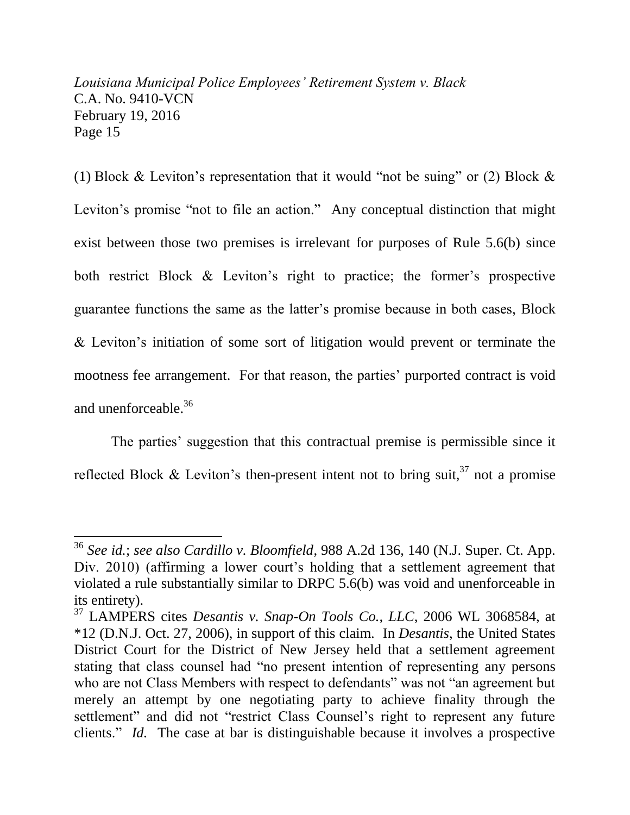(1) Block & Leviton's representation that it would "not be suing" or (2) Block  $\&$ Leviton's promise "not to file an action." Any conceptual distinction that might exist between those two premises is irrelevant for purposes of Rule 5.6(b) since both restrict Block & Leviton's right to practice; the former's prospective guarantee functions the same as the latter's promise because in both cases, Block & Leviton's initiation of some sort of litigation would prevent or terminate the mootness fee arrangement. For that reason, the parties' purported contract is void and unenforceable.<sup>36</sup>

The parties' suggestion that this contractual premise is permissible since it reflected Block & Leviton's then-present intent not to bring suit,  $37$  not a promise

<sup>36</sup> *See id.*; *see also Cardillo v. Bloomfield*, 988 A.2d 136, 140 (N.J. Super. Ct. App. Div. 2010) (affirming a lower court's holding that a settlement agreement that violated a rule substantially similar to DRPC 5.6(b) was void and unenforceable in its entirety).

<sup>37</sup> LAMPERS cites *Desantis v. Snap-On Tools Co., LLC*, 2006 WL 3068584, at \*12 (D.N.J. Oct. 27, 2006), in support of this claim. In *Desantis*, the United States District Court for the District of New Jersey held that a settlement agreement stating that class counsel had "no present intention of representing any persons who are not Class Members with respect to defendants" was not "an agreement but merely an attempt by one negotiating party to achieve finality through the settlement" and did not "restrict Class Counsel's right to represent any future clients." *Id.* The case at bar is distinguishable because it involves a prospective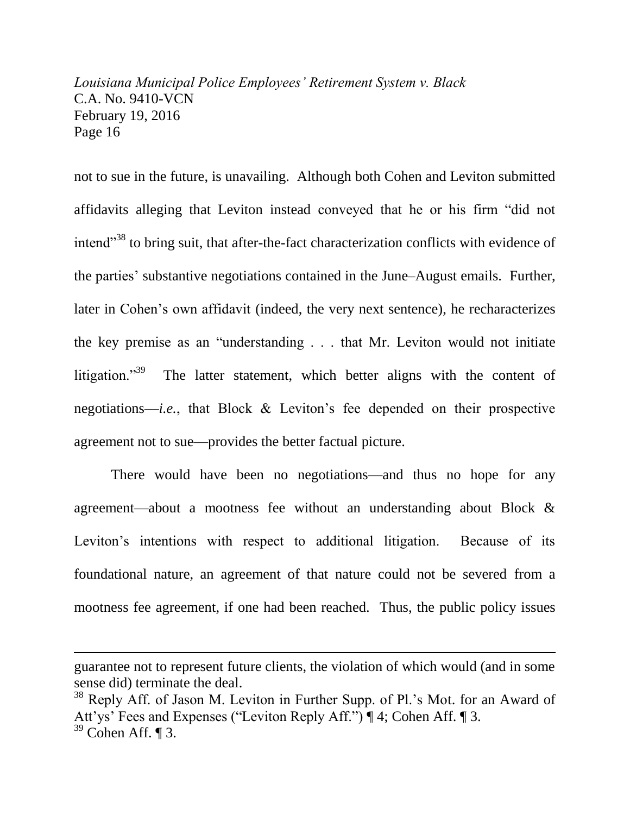not to sue in the future, is unavailing. Although both Cohen and Leviton submitted affidavits alleging that Leviton instead conveyed that he or his firm "did not intend"<sup>38</sup> to bring suit, that after-the-fact characterization conflicts with evidence of the parties' substantive negotiations contained in the June–August emails. Further, later in Cohen's own affidavit (indeed, the very next sentence), he recharacterizes the key premise as an "understanding . . . that Mr. Leviton would not initiate litigation."<sup>39</sup> The latter statement, which better aligns with the content of negotiations—*i.e.*, that Block & Leviton's fee depended on their prospective agreement not to sue—provides the better factual picture.

There would have been no negotiations—and thus no hope for any agreement—about a mootness fee without an understanding about Block & Leviton's intentions with respect to additional litigation. Because of its foundational nature, an agreement of that nature could not be severed from a mootness fee agreement, if one had been reached. Thus, the public policy issues

guarantee not to represent future clients, the violation of which would (and in some sense did) terminate the deal.

<sup>&</sup>lt;sup>38</sup> Reply Aff. of Jason M. Leviton in Further Supp. of Pl.'s Mot. for an Award of Att'ys' Fees and Expenses ("Leviton Reply Aff.") | 4; Cohen Aff. | 3.  $39$  Cohen Aff.  $\P$  3.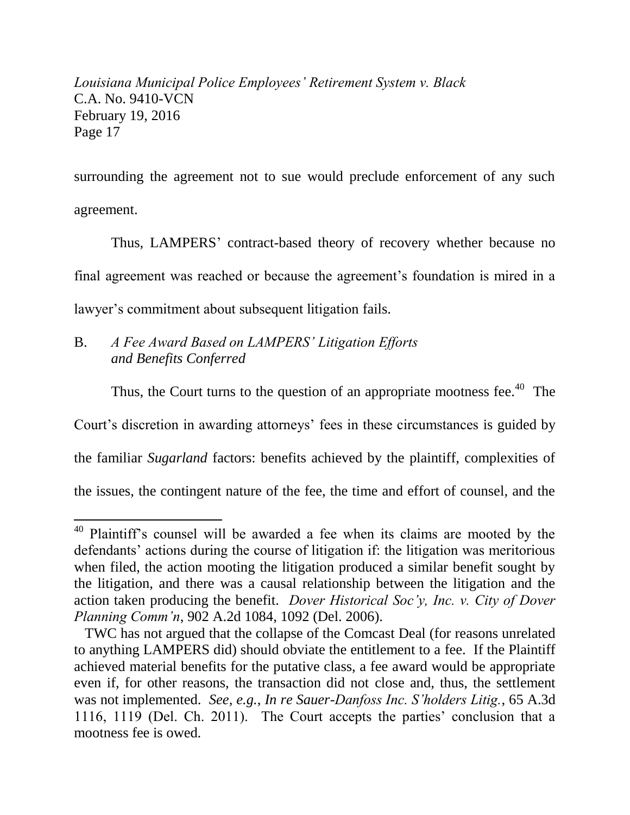surrounding the agreement not to sue would preclude enforcement of any such agreement.

Thus, LAMPERS' contract-based theory of recovery whether because no final agreement was reached or because the agreement's foundation is mired in a lawyer's commitment about subsequent litigation fails.

## B. *A Fee Award Based on LAMPERS' Litigation Efforts and Benefits Conferred*

 $\overline{a}$ 

Thus, the Court turns to the question of an appropriate mootness fee.<sup>40</sup> The

Court's discretion in awarding attorneys' fees in these circumstances is guided by

the familiar *Sugarland* factors: benefits achieved by the plaintiff, complexities of

the issues, the contingent nature of the fee, the time and effort of counsel, and the

<sup>&</sup>lt;sup>40</sup> Plaintiff's counsel will be awarded a fee when its claims are mooted by the defendants' actions during the course of litigation if: the litigation was meritorious when filed, the action mooting the litigation produced a similar benefit sought by the litigation, and there was a causal relationship between the litigation and the action taken producing the benefit. *Dover Historical Soc'y, Inc. v. City of Dover Planning Comm'n*, 902 A.2d 1084, 1092 (Del. 2006).

TWC has not argued that the collapse of the Comcast Deal (for reasons unrelated to anything LAMPERS did) should obviate the entitlement to a fee. If the Plaintiff achieved material benefits for the putative class, a fee award would be appropriate even if, for other reasons, the transaction did not close and, thus, the settlement was not implemented. *See, e.g.*, *In re Sauer-Danfoss Inc. S'holders Litig.*, 65 A.3d 1116, 1119 (Del. Ch. 2011). The Court accepts the parties' conclusion that a mootness fee is owed.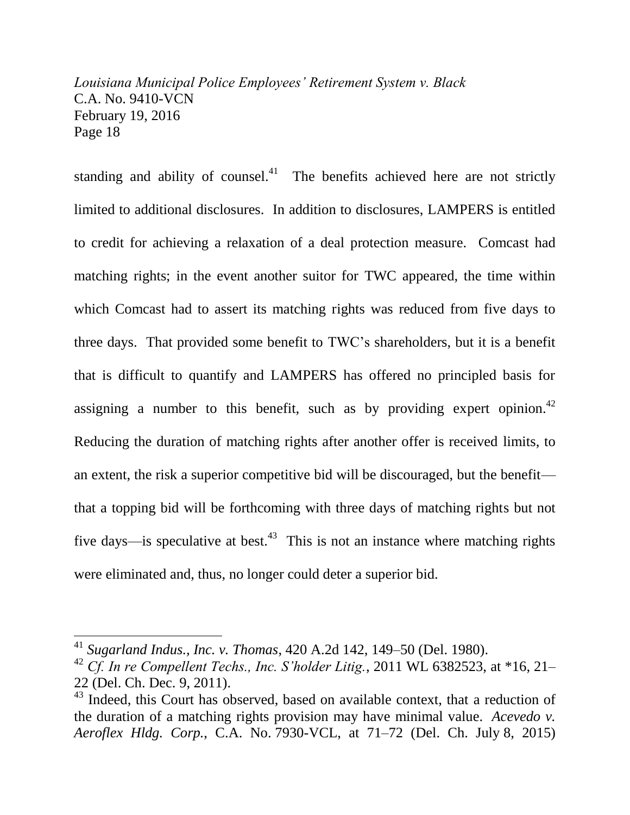standing and ability of counsel. $41$  The benefits achieved here are not strictly limited to additional disclosures. In addition to disclosures, LAMPERS is entitled to credit for achieving a relaxation of a deal protection measure. Comcast had matching rights; in the event another suitor for TWC appeared, the time within which Comcast had to assert its matching rights was reduced from five days to three days. That provided some benefit to TWC's shareholders, but it is a benefit that is difficult to quantify and LAMPERS has offered no principled basis for assigning a number to this benefit, such as by providing expert opinion.<sup>42</sup> Reducing the duration of matching rights after another offer is received limits, to an extent, the risk a superior competitive bid will be discouraged, but the benefit that a topping bid will be forthcoming with three days of matching rights but not five days—is speculative at best.<sup>43</sup> This is not an instance where matching rights were eliminated and, thus, no longer could deter a superior bid.

<sup>41</sup> *Sugarland Indus., Inc. v. Thomas*, 420 A.2d 142, 149–50 (Del. 1980).

<sup>42</sup> *Cf. In re Compellent Techs., Inc. S'holder Litig.*, 2011 WL 6382523, at \*16, 21– 22 (Del. Ch. Dec. 9, 2011).

 $43$  Indeed, this Court has observed, based on available context, that a reduction of the duration of a matching rights provision may have minimal value. *Acevedo v. Aeroflex Hldg. Corp.*, C.A. No. 7930-VCL, at 71–72 (Del. Ch. July 8, 2015)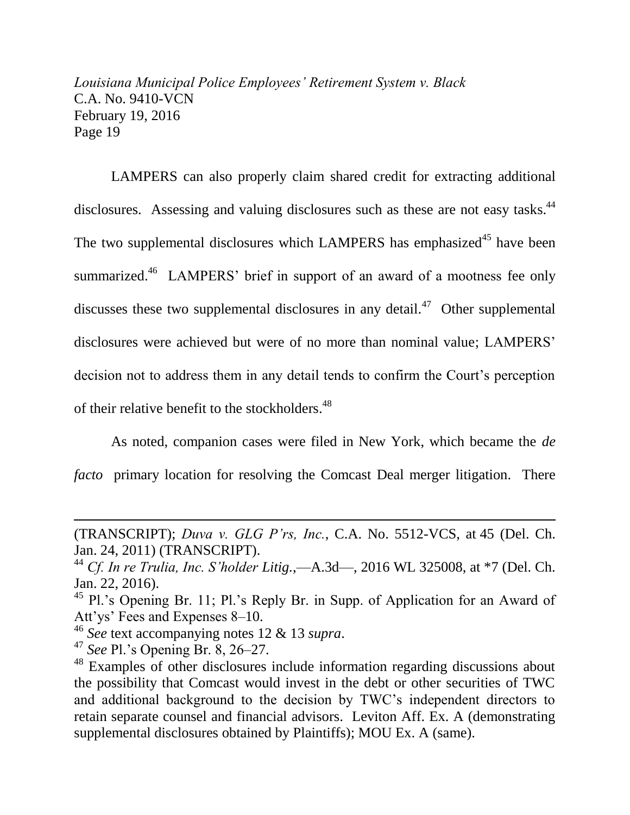LAMPERS can also properly claim shared credit for extracting additional disclosures. Assessing and valuing disclosures such as these are not easy tasks.<sup>44</sup> The two supplemental disclosures which LAMPERS has emphasized<sup>45</sup> have been summarized.<sup>46</sup> LAMPERS' brief in support of an award of a mootness fee only discusses these two supplemental disclosures in any detail. $47$  Other supplemental disclosures were achieved but were of no more than nominal value; LAMPERS' decision not to address them in any detail tends to confirm the Court's perception of their relative benefit to the stockholders.<sup>48</sup>

As noted, companion cases were filed in New York, which became the *de facto* primary location for resolving the Comcast Deal merger litigation. There

<sup>(</sup>TRANSCRIPT); *Duva v. GLG P'rs, Inc.*, C.A. No. 5512-VCS, at 45 (Del. Ch. Jan. 24, 2011) (TRANSCRIPT).

<sup>44</sup> *Cf. In re Trulia, Inc. S'holder Litig.*,—A.3d—, 2016 WL 325008, at \*7 (Del. Ch. Jan. 22, 2016).

<sup>&</sup>lt;sup>45</sup> Pl.'s Opening Br. 11; Pl.'s Reply Br. in Supp. of Application for an Award of Att'ys' Fees and Expenses 8–10.

<sup>46</sup> *See* text accompanying notes 12 & 13 *supra*.

<sup>47</sup> *See* Pl.'s Opening Br. 8, 26–27.

<sup>&</sup>lt;sup>48</sup> Examples of other disclosures include information regarding discussions about the possibility that Comcast would invest in the debt or other securities of TWC and additional background to the decision by TWC's independent directors to retain separate counsel and financial advisors. Leviton Aff. Ex. A (demonstrating supplemental disclosures obtained by Plaintiffs); MOU Ex. A (same).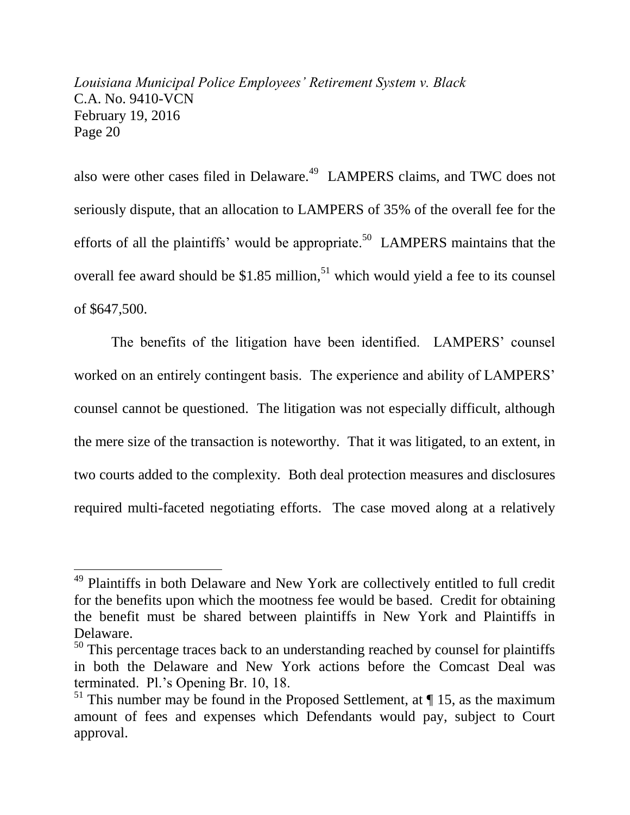also were other cases filed in Delaware.<sup>49</sup> LAMPERS claims, and TWC does not seriously dispute, that an allocation to LAMPERS of 35% of the overall fee for the efforts of all the plaintiffs' would be appropriate.<sup>50</sup> LAMPERS maintains that the overall fee award should be  $$1.85$  million,<sup>51</sup> which would yield a fee to its counsel of \$647,500.

The benefits of the litigation have been identified. LAMPERS' counsel worked on an entirely contingent basis. The experience and ability of LAMPERS' counsel cannot be questioned. The litigation was not especially difficult, although the mere size of the transaction is noteworthy. That it was litigated, to an extent, in two courts added to the complexity. Both deal protection measures and disclosures required multi-faceted negotiating efforts. The case moved along at a relatively

<sup>&</sup>lt;sup>49</sup> Plaintiffs in both Delaware and New York are collectively entitled to full credit for the benefits upon which the mootness fee would be based. Credit for obtaining the benefit must be shared between plaintiffs in New York and Plaintiffs in Delaware.

<sup>&</sup>lt;sup>50</sup> This percentage traces back to an understanding reached by counsel for plaintiffs in both the Delaware and New York actions before the Comcast Deal was terminated. Pl.'s Opening Br. 10, 18.

<sup>&</sup>lt;sup>51</sup> This number may be found in the Proposed Settlement, at  $\P$  15, as the maximum amount of fees and expenses which Defendants would pay, subject to Court approval.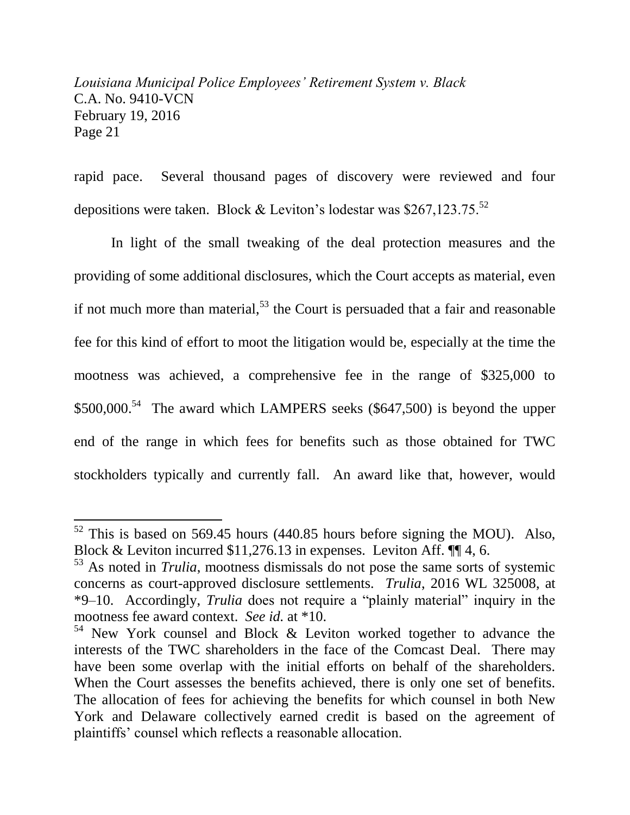rapid pace. Several thousand pages of discovery were reviewed and four depositions were taken. Block & Leviton's lodestar was \$267,123.75.<sup>52</sup>

In light of the small tweaking of the deal protection measures and the providing of some additional disclosures, which the Court accepts as material, even if not much more than material,  $53$  the Court is persuaded that a fair and reasonable fee for this kind of effort to moot the litigation would be, especially at the time the mootness was achieved, a comprehensive fee in the range of \$325,000 to  $$500,000$ <sup>54</sup> The award which LAMPERS seeks (\$647,500) is beyond the upper end of the range in which fees for benefits such as those obtained for TWC stockholders typically and currently fall. An award like that, however, would

 $52$  This is based on 569.45 hours (440.85 hours before signing the MOU). Also, Block & Leviton incurred \$11,276.13 in expenses. Leviton Aff. ¶¶ 4, 6.

<sup>53</sup> As noted in *Trulia*, mootness dismissals do not pose the same sorts of systemic concerns as court-approved disclosure settlements. *Trulia*, 2016 WL 325008, at \*9–10. Accordingly, *Trulia* does not require a "plainly material" inquiry in the mootness fee award context. *See id.* at \*10.

 $54$  New York counsel and Block & Leviton worked together to advance the interests of the TWC shareholders in the face of the Comcast Deal. There may have been some overlap with the initial efforts on behalf of the shareholders. When the Court assesses the benefits achieved, there is only one set of benefits. The allocation of fees for achieving the benefits for which counsel in both New York and Delaware collectively earned credit is based on the agreement of plaintiffs' counsel which reflects a reasonable allocation.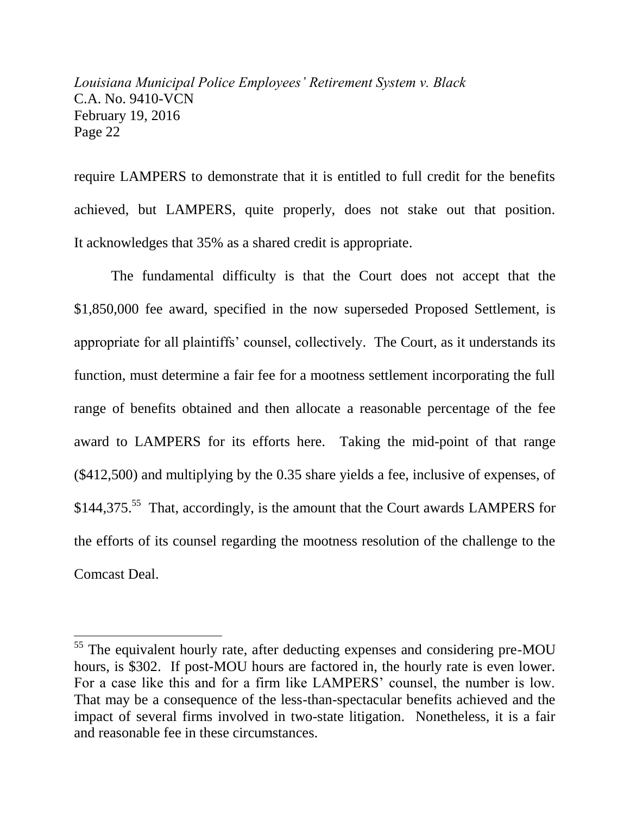require LAMPERS to demonstrate that it is entitled to full credit for the benefits achieved, but LAMPERS, quite properly, does not stake out that position. It acknowledges that 35% as a shared credit is appropriate.

The fundamental difficulty is that the Court does not accept that the \$1,850,000 fee award, specified in the now superseded Proposed Settlement, is appropriate for all plaintiffs' counsel, collectively. The Court, as it understands its function, must determine a fair fee for a mootness settlement incorporating the full range of benefits obtained and then allocate a reasonable percentage of the fee award to LAMPERS for its efforts here. Taking the mid-point of that range (\$412,500) and multiplying by the 0.35 share yields a fee, inclusive of expenses, of  $$144,375<sup>55</sup>$  That, accordingly, is the amount that the Court awards LAMPERS for the efforts of its counsel regarding the mootness resolution of the challenge to the Comcast Deal.

<sup>&</sup>lt;sup>55</sup> The equivalent hourly rate, after deducting expenses and considering pre-MOU hours, is \$302. If post-MOU hours are factored in, the hourly rate is even lower. For a case like this and for a firm like LAMPERS' counsel, the number is low. That may be a consequence of the less-than-spectacular benefits achieved and the impact of several firms involved in two-state litigation. Nonetheless, it is a fair and reasonable fee in these circumstances.